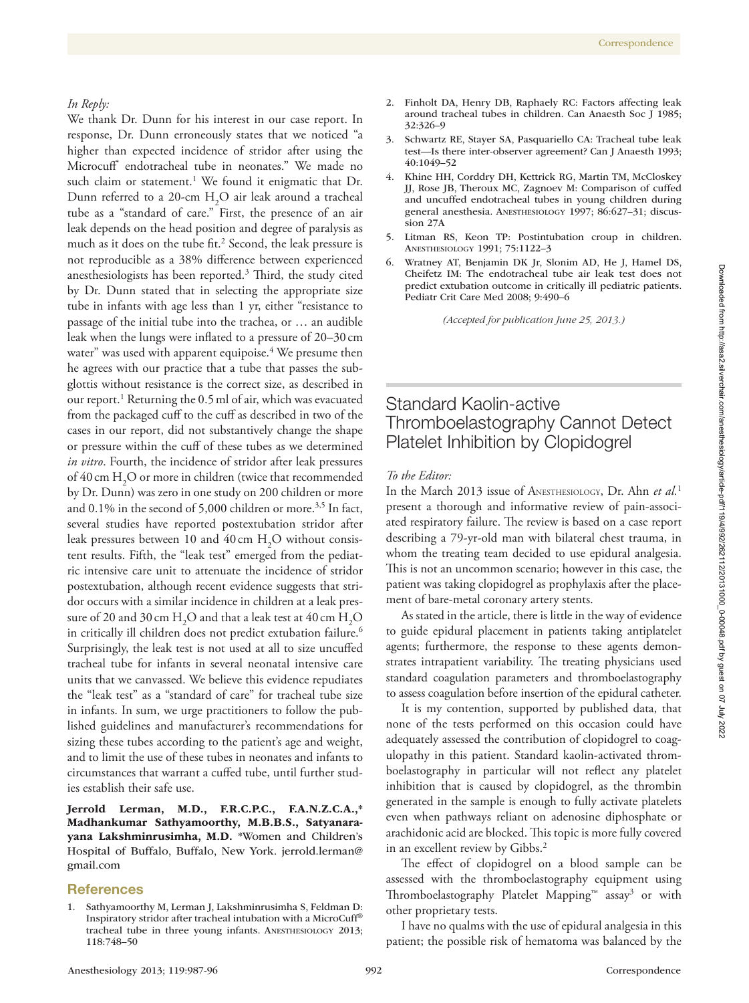### *In Reply:*

We thank Dr. Dunn for his interest in our case report. In response, Dr. Dunn erroneously states that we noticed "a higher than expected incidence of stridor after using the Microcuff® endotracheal tube in neonates." We made no such claim or statement.<sup>1</sup> We found it enigmatic that Dr. Dunn referred to a 20-cm  $H_2O$  air leak around a tracheal tube as a "standard of care." First, the presence of an air leak depends on the head position and degree of paralysis as much as it does on the tube fit.<sup>2</sup> Second, the leak pressure is not reproducible as a 38% difference between experienced anesthesiologists has been reported.<sup>3</sup> Third, the study cited by Dr. Dunn stated that in selecting the appropriate size tube in infants with age less than 1 yr, either "resistance to passage of the initial tube into the trachea, or … an audible leak when the lungs were inflated to a pressure of 20–30 cm water" was used with apparent equipoise.<sup>4</sup> We presume then he agrees with our practice that a tube that passes the subglottis without resistance is the correct size, as described in our report.<sup>1</sup> Returning the 0.5 ml of air, which was evacuated from the packaged cuff to the cuff as described in two of the cases in our report, did not substantively change the shape or pressure within the cuff of these tubes as we determined *in vitro*. Fourth, the incidence of stridor after leak pressures of  $40 \text{ cm } H_2$ O or more in children (twice that recommended by Dr. Dunn) was zero in one study on 200 children or more and  $0.1\%$  in the second of 5,000 children or more.<sup>3,5</sup> In fact, several studies have reported postextubation stridor after leak pressures between 10 and  $40 \text{ cm H}_{2}\text{O}$  without consistent results. Fifth, the "leak test" emerged from the pediatric intensive care unit to attenuate the incidence of stridor postextubation, although recent evidence suggests that stridor occurs with a similar incidence in children at a leak pressure of 20 and 30 cm  $\rm H_2O$  and that a leak test at 40 cm  $\rm H_2O$ in critically ill children does not predict extubation failure.<sup>6</sup> Surprisingly, the leak test is not used at all to size uncuffed tracheal tube for infants in several neonatal intensive care units that we canvassed. We believe this evidence repudiates the "leak test" as a "standard of care" for tracheal tube size in infants. In sum, we urge practitioners to follow the published guidelines and manufacturer's recommendations for sizing these tubes according to the patient's age and weight, and to limit the use of these tubes in neonates and infants to circumstances that warrant a cuffed tube, until further studies establish their safe use.

Jerrold Lerman, M.D., F.R.C.P.C., F.A.N.Z.C.A.,\* Madhankumar Sathyamoorthy, M.B.B.S., Satyanarayana Lakshminrusimha, M.D. \*Women and Children's Hospital of Buffalo, Buffalo, New York. [jerrold.lerman@](mailto:jerrold.lerman@gmail.com) [gmail.com](mailto:jerrold.lerman@gmail.com)

### References

Sathyamoorthy M, Lerman J, Lakshminrusimha S, Feldman D: Inspiratory stridor after tracheal intubation with a MicroCuff® tracheal tube in three young infants. Anesthesiology 2013; 118:748–50

- 2. Finholt DA, Henry DB, Raphaely RC: Factors affecting leak around tracheal tubes in children. Can Anaesth Soc J 1985; 32:326–9
- 3. Schwartz RE, Stayer SA, Pasquariello CA: Tracheal tube leak test—Is there inter-observer agreement? Can J Anaesth 1993; 40:1049–52
- 4. Khine HH, Corddry DH, Kettrick RG, Martin TM, McCloskey JJ, Rose JB, Theroux MC, Zagnoev M: Comparison of cuffed and uncuffed endotracheal tubes in young children during general anesthesia. Anesthesiology 1997; 86:627–31; discussion 27A
- 5. Litman RS, Keon TP: Postintubation croup in children. Anesthesiology 1991; 75:1122–3
- 6. Wratney AT, Benjamin DK Jr, Slonim AD, He J, Hamel DS, Cheifetz IM: The endotracheal tube air leak test does not predict extubation outcome in critically ill pediatric patients. Pediatr Crit Care Med 2008; 9:490–6

*(Accepted for publication June 25, 2013.)* 

# Standard Kaolin-active Thromboelastography Cannot Detect Platelet Inhibition by Clopidogrel

## *To the Editor:*

In the March 2013 issue of Anesthesiology, Dr. Ahn *et al.*<sup>1</sup> present a thorough and informative review of pain-associated respiratory failure. The review is based on a case report describing a 79-yr-old man with bilateral chest trauma, in whom the treating team decided to use epidural analgesia. This is not an uncommon scenario; however in this case, the patient was taking clopidogrel as prophylaxis after the placement of bare-metal coronary artery stents.

As stated in the article, there is little in the way of evidence to guide epidural placement in patients taking antiplatelet agents; furthermore, the response to these agents demonstrates intrapatient variability. The treating physicians used standard coagulation parameters and thromboelastography to assess coagulation before insertion of the epidural catheter.

It is my contention, supported by published data, that none of the tests performed on this occasion could have adequately assessed the contribution of clopidogrel to coagulopathy in this patient. Standard kaolin-activated thromboelastography in particular will not reflect any platelet inhibition that is caused by clopidogrel, as the thrombin generated in the sample is enough to fully activate platelets even when pathways reliant on adenosine diphosphate or arachidonic acid are blocked. This topic is more fully covered in an excellent review by Gibbs.<sup>2</sup>

The effect of clopidogrel on a blood sample can be assessed with the thromboelastography equipment using Thromboelastography Platelet Mapping™ assay<sup>3</sup> or with other proprietary tests.

I have no qualms with the use of epidural analgesia in this patient; the possible risk of hematoma was balanced by the